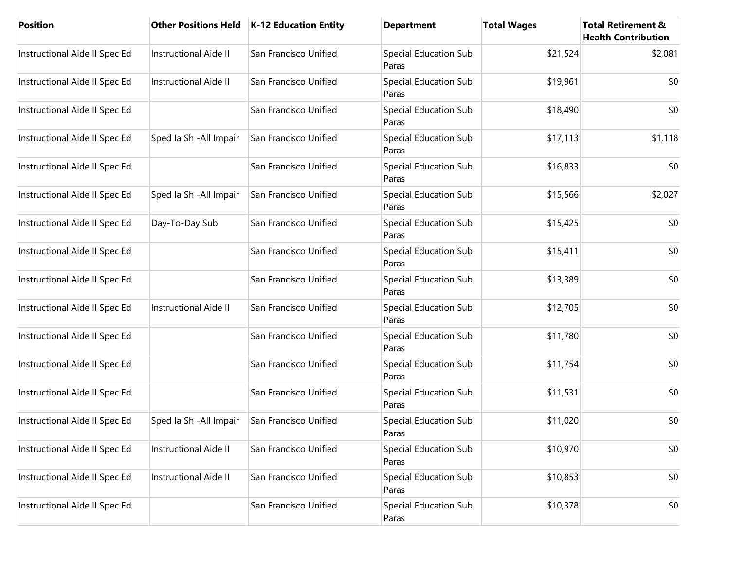| <b>Position</b>               | <b>Other Positions Held</b>  | <b>K-12 Education Entity</b> | <b>Department</b>                     | <b>Total Wages</b> | <b>Total Retirement &amp;</b><br><b>Health Contribution</b> |
|-------------------------------|------------------------------|------------------------------|---------------------------------------|--------------------|-------------------------------------------------------------|
| Instructional Aide II Spec Ed | <b>Instructional Aide II</b> | San Francisco Unified        | Special Education Sub<br>Paras        | \$21,524           | \$2,081                                                     |
| Instructional Aide II Spec Ed | <b>Instructional Aide II</b> | San Francisco Unified        | Special Education Sub<br>Paras        | \$19,961           | \$0                                                         |
| Instructional Aide II Spec Ed |                              | San Francisco Unified        | <b>Special Education Sub</b><br>Paras | \$18,490           | \$0                                                         |
| Instructional Aide II Spec Ed | Sped Ia Sh - All Impair      | San Francisco Unified        | Special Education Sub<br>Paras        | \$17,113           | \$1,118                                                     |
| Instructional Aide II Spec Ed |                              | San Francisco Unified        | Special Education Sub<br>Paras        | \$16,833           | \$0                                                         |
| Instructional Aide II Spec Ed | Sped Ia Sh - All Impair      | San Francisco Unified        | <b>Special Education Sub</b><br>Paras | \$15,566           | \$2,027                                                     |
| Instructional Aide II Spec Ed | Day-To-Day Sub               | San Francisco Unified        | Special Education Sub<br>Paras        | \$15,425           | \$0                                                         |
| Instructional Aide II Spec Ed |                              | San Francisco Unified        | Special Education Sub<br>Paras        | \$15,411           | \$0                                                         |
| Instructional Aide II Spec Ed |                              | San Francisco Unified        | Special Education Sub<br>Paras        | \$13,389           | \$0                                                         |
| Instructional Aide II Spec Ed | Instructional Aide II        | San Francisco Unified        | Special Education Sub<br>Paras        | \$12,705           | \$0                                                         |
| Instructional Aide II Spec Ed |                              | San Francisco Unified        | Special Education Sub<br>Paras        | \$11,780           | \$0                                                         |
| Instructional Aide II Spec Ed |                              | San Francisco Unified        | <b>Special Education Sub</b><br>Paras | \$11,754           | \$0                                                         |
| Instructional Aide II Spec Ed |                              | San Francisco Unified        | Special Education Sub<br>Paras        | \$11,531           | \$0                                                         |
| Instructional Aide II Spec Ed | Sped Ia Sh - All Impair      | San Francisco Unified        | Special Education Sub<br>Paras        | \$11,020           | \$0                                                         |
| Instructional Aide II Spec Ed | Instructional Aide II        | San Francisco Unified        | Special Education Sub<br>Paras        | \$10,970           | \$0                                                         |
| Instructional Aide II Spec Ed | Instructional Aide II        | San Francisco Unified        | Special Education Sub<br>Paras        | \$10,853           | \$0                                                         |
| Instructional Aide II Spec Ed |                              | San Francisco Unified        | Special Education Sub<br>Paras        | \$10,378           | \$0                                                         |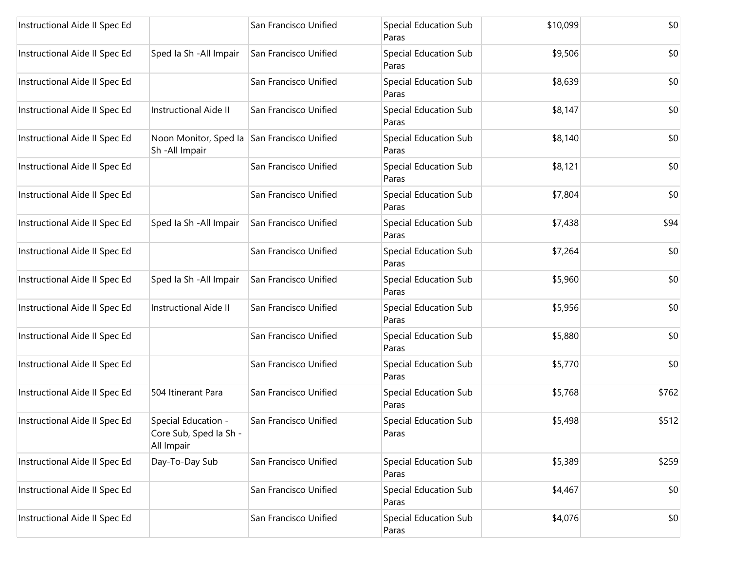| Instructional Aide II Spec Ed |                                                             | San Francisco Unified | <b>Special Education Sub</b><br>Paras | \$10,099 | \$0   |
|-------------------------------|-------------------------------------------------------------|-----------------------|---------------------------------------|----------|-------|
| Instructional Aide II Spec Ed | Sped Ia Sh - All Impair                                     | San Francisco Unified | <b>Special Education Sub</b><br>Paras | \$9,506  | \$0   |
| Instructional Aide II Spec Ed |                                                             | San Francisco Unified | Special Education Sub<br>Paras        | \$8,639  | \$0   |
| Instructional Aide II Spec Ed | <b>Instructional Aide II</b>                                | San Francisco Unified | Special Education Sub<br>Paras        | \$8,147  | \$0   |
| Instructional Aide II Spec Ed | Noon Monitor, Sped la<br>Sh-All Impair                      | San Francisco Unified | <b>Special Education Sub</b><br>Paras | \$8,140  | \$0   |
| Instructional Aide II Spec Ed |                                                             | San Francisco Unified | Special Education Sub<br>Paras        | \$8,121  | \$0   |
| Instructional Aide II Spec Ed |                                                             | San Francisco Unified | <b>Special Education Sub</b><br>Paras | \$7,804  | \$0   |
| Instructional Aide II Spec Ed | Sped Ia Sh - All Impair                                     | San Francisco Unified | Special Education Sub<br>Paras        | \$7,438  | \$94  |
| Instructional Aide II Spec Ed |                                                             | San Francisco Unified | <b>Special Education Sub</b><br>Paras | \$7,264  | \$0   |
| Instructional Aide II Spec Ed | Sped Ia Sh - All Impair                                     | San Francisco Unified | Special Education Sub<br>Paras        | \$5,960  | \$0   |
| Instructional Aide II Spec Ed | <b>Instructional Aide II</b>                                | San Francisco Unified | Special Education Sub<br>Paras        | \$5,956  | \$0   |
| Instructional Aide II Spec Ed |                                                             | San Francisco Unified | Special Education Sub<br>Paras        | \$5,880  | \$0   |
| Instructional Aide II Spec Ed |                                                             | San Francisco Unified | <b>Special Education Sub</b><br>Paras | \$5,770  | \$0   |
| Instructional Aide II Spec Ed | 504 Itinerant Para                                          | San Francisco Unified | Special Education Sub<br>Paras        | \$5,768  | \$762 |
| Instructional Aide II Spec Ed | Special Education -<br>Core Sub, Sped Ia Sh -<br>All Impair | San Francisco Unified | Special Education Sub<br>Paras        | \$5,498  | \$512 |
| Instructional Aide II Spec Ed | Day-To-Day Sub                                              | San Francisco Unified | Special Education Sub<br>Paras        | \$5,389  | \$259 |
| Instructional Aide II Spec Ed |                                                             | San Francisco Unified | Special Education Sub<br>Paras        | \$4,467  | \$0   |
| Instructional Aide II Spec Ed |                                                             | San Francisco Unified | Special Education Sub<br>Paras        | \$4,076  | \$0   |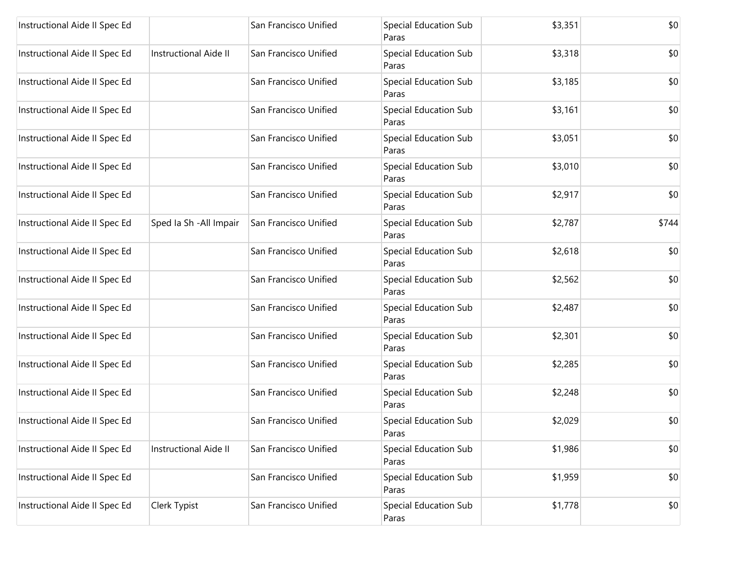| Instructional Aide II Spec Ed |                              | San Francisco Unified | Special Education Sub<br>Paras | \$3,351 | \$0   |
|-------------------------------|------------------------------|-----------------------|--------------------------------|---------|-------|
| Instructional Aide II Spec Ed | <b>Instructional Aide II</b> | San Francisco Unified | Special Education Sub<br>Paras | \$3,318 | \$0   |
| Instructional Aide II Spec Ed |                              | San Francisco Unified | Special Education Sub<br>Paras | \$3,185 | \$0   |
| Instructional Aide II Spec Ed |                              | San Francisco Unified | Special Education Sub<br>Paras | \$3,161 | \$0   |
| Instructional Aide II Spec Ed |                              | San Francisco Unified | Special Education Sub<br>Paras | \$3,051 | \$0   |
| Instructional Aide II Spec Ed |                              | San Francisco Unified | Special Education Sub<br>Paras | \$3,010 | \$0   |
| Instructional Aide II Spec Ed |                              | San Francisco Unified | Special Education Sub<br>Paras | \$2,917 | \$0   |
| Instructional Aide II Spec Ed | Sped Ia Sh - All Impair      | San Francisco Unified | Special Education Sub<br>Paras | \$2,787 | \$744 |
| Instructional Aide II Spec Ed |                              | San Francisco Unified | Special Education Sub<br>Paras | \$2,618 | \$0   |
| Instructional Aide II Spec Ed |                              | San Francisco Unified | Special Education Sub<br>Paras | \$2,562 | \$0   |
| Instructional Aide II Spec Ed |                              | San Francisco Unified | Special Education Sub<br>Paras | \$2,487 | \$0   |
| Instructional Aide II Spec Ed |                              | San Francisco Unified | Special Education Sub<br>Paras | \$2,301 | \$0   |
| Instructional Aide II Spec Ed |                              | San Francisco Unified | Special Education Sub<br>Paras | \$2,285 | \$0   |
| Instructional Aide II Spec Ed |                              | San Francisco Unified | Special Education Sub<br>Paras | \$2,248 | \$0   |
| Instructional Aide II Spec Ed |                              | San Francisco Unified | Special Education Sub<br>Paras | \$2,029 | \$0   |
| Instructional Aide II Spec Ed | Instructional Aide II        | San Francisco Unified | Special Education Sub<br>Paras | \$1,986 | \$0   |
| Instructional Aide II Spec Ed |                              | San Francisco Unified | Special Education Sub<br>Paras | \$1,959 | \$0   |
| Instructional Aide II Spec Ed | Clerk Typist                 | San Francisco Unified | Special Education Sub<br>Paras | \$1,778 | \$0   |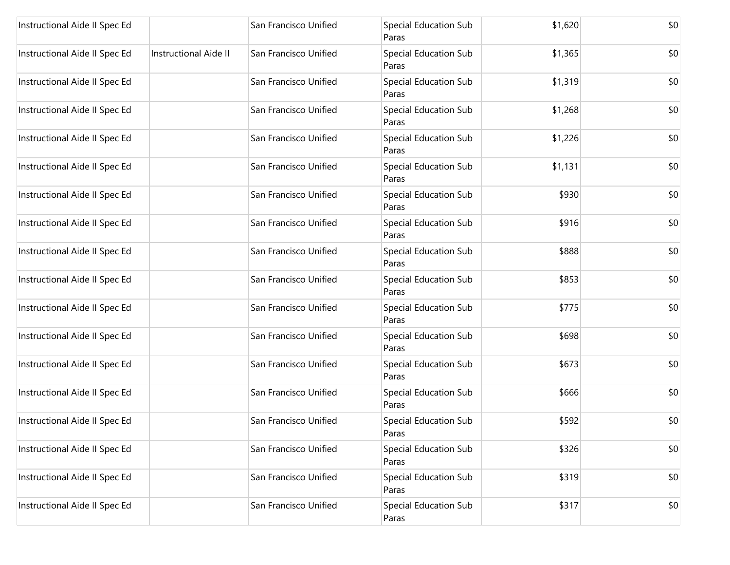| Instructional Aide II Spec Ed |                              | San Francisco Unified | <b>Special Education Sub</b><br>Paras | \$1,620 | \$0 |
|-------------------------------|------------------------------|-----------------------|---------------------------------------|---------|-----|
| Instructional Aide II Spec Ed | <b>Instructional Aide II</b> | San Francisco Unified | Special Education Sub<br>Paras        | \$1,365 | \$0 |
| Instructional Aide II Spec Ed |                              | San Francisco Unified | Special Education Sub<br>Paras        | \$1,319 | \$0 |
| Instructional Aide II Spec Ed |                              | San Francisco Unified | Special Education Sub<br>Paras        | \$1,268 | \$0 |
| Instructional Aide II Spec Ed |                              | San Francisco Unified | Special Education Sub<br>Paras        | \$1,226 | \$0 |
| Instructional Aide II Spec Ed |                              | San Francisco Unified | Special Education Sub<br>Paras        | \$1,131 | \$0 |
| Instructional Aide II Spec Ed |                              | San Francisco Unified | Special Education Sub<br>Paras        | \$930   | \$0 |
| Instructional Aide II Spec Ed |                              | San Francisco Unified | Special Education Sub<br>Paras        | \$916   | \$0 |
| Instructional Aide II Spec Ed |                              | San Francisco Unified | Special Education Sub<br>Paras        | \$888   | \$0 |
| Instructional Aide II Spec Ed |                              | San Francisco Unified | Special Education Sub<br>Paras        | \$853   | \$0 |
| Instructional Aide II Spec Ed |                              | San Francisco Unified | Special Education Sub<br>Paras        | \$775   | \$0 |
| Instructional Aide II Spec Ed |                              | San Francisco Unified | Special Education Sub<br>Paras        | \$698   | \$0 |
| Instructional Aide II Spec Ed |                              | San Francisco Unified | Special Education Sub<br>Paras        | \$673   | \$0 |
| Instructional Aide II Spec Ed |                              | San Francisco Unified | Special Education Sub<br>Paras        | \$666   | \$0 |
| Instructional Aide II Spec Ed |                              | San Francisco Unified | Special Education Sub<br>Paras        | \$592   | \$0 |
| Instructional Aide II Spec Ed |                              | San Francisco Unified | Special Education Sub<br>Paras        | \$326   | \$0 |
| Instructional Aide II Spec Ed |                              | San Francisco Unified | Special Education Sub<br>Paras        | \$319   | \$0 |
| Instructional Aide II Spec Ed |                              | San Francisco Unified | Special Education Sub<br>Paras        | \$317   | \$0 |